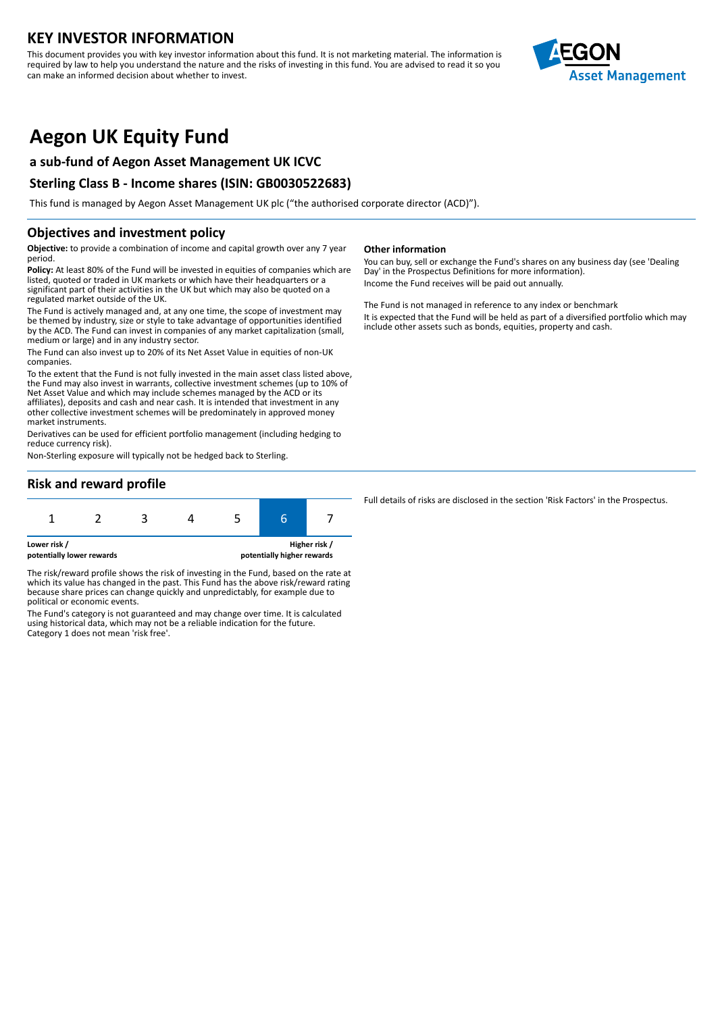## **KEY INVESTOR INFORMATION**

This document provides you with key investor information about this fund. It is not marketing material. The information is required by law to help you understand the nature and the risks of investing in this fund. You are advised to read it so you can make an informed decision about whether to invest.



# **Aegon UK Equity Fund**

## **a sub-fund of Aegon Asset Management UK ICVC**

## **Sterling Class B - Income shares (ISIN: GB0030522683)**

This fund is managed by Aegon Asset Management UK plc ("the authorised corporate director (ACD)").

### **Objectives and investment policy**

**Objective:** to provide a combination of income and capital growth over any 7 year period.

**Policy:** At least 80% of the Fund will be invested in equities of companies which are listed, quoted or traded in UK markets or which have their headquarters or a significant part of their activities in the UK but which may also be quoted on a regulated market outside of the UK.

The Fund is actively managed and, at any one time, the scope of investment may be themed by industry, size or style to take advantage of opportunities identified by the ACD. The Fund can invest in companies of any market capitalization (small, medium or large) and in any industry sector.

The Fund can also invest up to 20% of its Net Asset Value in equities of non-UK companies.

To the extent that the Fund is not fully invested in the main asset class listed above, the Fund may also invest in warrants, collective investment schemes (up to 10% of Net Asset Value and which may include schemes managed by the ACD or its affiliates), deposits and cash and near cash. It is intended that investment in any other collective investment schemes will be predominately in approved money market instruments.

Derivatives can be used for efficient portfolio management (including hedging to reduce currency risk).

Non-Sterling exposure will typically not be hedged back to Sterling.

#### **Other information**

You can buy, sell or exchange the Fund's shares on any business day (see 'Dealing Day' in the Prospectus Definitions for more information). Income the Fund receives will be paid out annually.

The Fund is not managed in reference to any index or benchmark It is expected that the Fund will be held as part of a diversified portfolio which may include other assets such as bonds, equities, property and cash.

## **Risk and reward profile**

| Higher risk /<br>Lower risk / |  |  |  |  |  |  |
|-------------------------------|--|--|--|--|--|--|

**potentially lower rewards potentially higher rewards**

The risk/reward profile shows the risk of investing in the Fund, based on the rate at which its value has changed in the past. This Fund has the above risk/reward rating because share prices can change quickly and unpredictably, for example due to political or economic events.

The Fund's category is not guaranteed and may change over time. It is calculated using historical data, which may not be a reliable indication for the future. Category 1 does not mean 'risk free'.

Full details of risks are disclosed in the section 'Risk Factors' in the Prospectus.